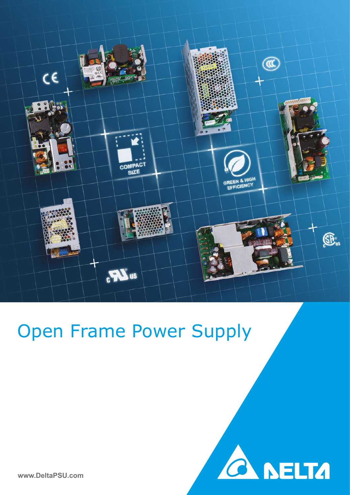

# Open Frame Power Supply

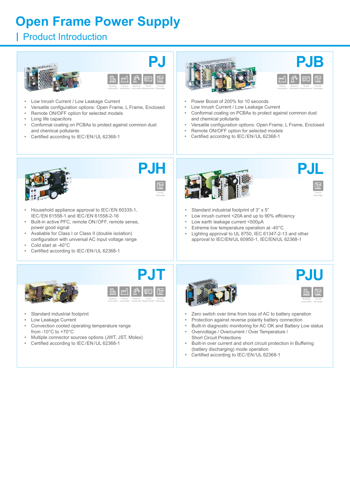## **Open Frame Power Supply**

### **I** Product Introduction





- Low Inrush Current / Low Leakage Current
- Versatile configuration options: Open Frame, L Frame, Enclosed
- Remote ON/OFF option for selected models
- Long life capacitors
- Conformal coating on PCBAs to protect against common dust and chemical pollutants
- Certified according to IEC/EN/UL 62368-1





- Power Boost of 200% for 10 seconds
- Low Inrush Current / Low Leakage Current
- Conformal coating on PCBAs to protect against common dust and chemical pollutants
- Versatile configuration options: Open Frame, L Frame, Enclosed
- Remote ON/OFF option for selected models
- Certified according to IEC/EN/UL 62368-1





- Household appliance approval to IEC/EN 60335-1, IEC/EN 61558-1 and IEC/EN 61558-2-16
- Built-in active PFC, remote ON/OFF, remote sense, power good signal
- Avaliable for Class I or Class II (double isolation)
- configuration with universal AC input voltage range
- Cold start at -40°C
- Certified according to IEC/EN/UL 62368-1





jε Food& Beverag

- Standard industrial footprint of 3" x 5"
- Low inrush current <20A and up to 90% efficiency
- Low earth leakage current <500µA
- Extreme low temperature operation at -40°C
- Lighting approval to UL 8750, IEC 61347-2-13 and other approval to IEC/EN/UL 60950-1, IEC/EN/UL 62368-1





- Standard industrial footprint
- Low Leakage Current
- Convection cooled operating temperature range from -10°C to +70°C
- Multiple connector sources options (JWT, JST, Molex)
- Certified according to IEC/EN/UL 62368-1





jε Food& Beverag Building Automation

- Zero switch over time from loss of AC to battery operation
- Protection against reverse polarity battery connection
- Built-in diagnostic monitoring for AC OK and Battery Low status
- Overvoltage / Overcurrent / Over Temperature / Short Circuit Protections
- Built-in over current and short circuit protection in Buffering (battery discharging) mode operation
- Certified according to IEC/EN/UL 62368-1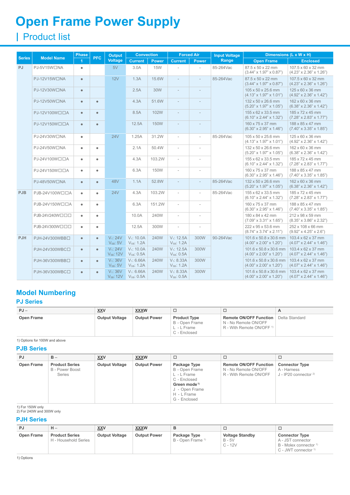## **Open Frame Power Supply**

## Product Iist

|               | <b>Model Name</b> | <b>Phase</b> | <b>PFC</b> | <b>Output</b>                         | <b>Convection</b>                       |              |                                         | <b>Forced Air</b>        | <b>Input Voltage</b> |                                                                           | Dimensions (L x W x H)                                    |
|---------------|-------------------|--------------|------------|---------------------------------------|-----------------------------------------|--------------|-----------------------------------------|--------------------------|----------------------|---------------------------------------------------------------------------|-----------------------------------------------------------|
| <b>Series</b> |                   |              |            | <b>Voltage</b>                        | <b>Current</b>                          | <b>Power</b> | <b>Current</b>                          | <b>Power</b>             | Range                | <b>Open Frame</b>                                                         | <b>Enclosed</b>                                           |
| <b>PJ</b>     | PJ-5V15W□NA       | $\bullet$    |            | 5V                                    | 3.0A                                    | <b>15W</b>   |                                         |                          | 85-264Vac            | 87.5 x 50 x 22 mm<br>$(3.44" \times 1.97" \times 0.87")$                  | 107.5 x 60 x 32 mm<br>$(4.23" \times 2.36" \times 1.26")$ |
|               | PJ-12V15W□NA      | $\bullet$    |            | 12V                                   | 1.3A                                    | 15.6W        | $\overline{\phantom{a}}$                | L.                       | 85-264Vac            | 87.5 x 50 x 22 mm<br>$(3.44" \times 1.97" \times 0.87")$                  | 107.5 x 60 x 32 mm<br>$(4.23" \times 2.36" \times 1.26")$ |
|               | PJ-12V30W□NA      | $\bullet$    |            |                                       | 2.5A                                    | 30W          |                                         |                          |                      | 105 x 50 x 25.6 mm<br>$(4.13" \times 1.97" \times 1.01")$                 | 125 x 60 x 36 mm<br>$(4.92" \times 2.36" \times 1.42")$   |
|               | PJ-12V50W□NA      | $\bullet$    | $\bullet$  |                                       | 4.3A                                    | 51.6W        | $\overline{\phantom{a}}$                | ÷                        |                      | 132 x 50 x 26.6 mm<br>$(5.20" \times 1.97" \times 1.05")$                 | 162 x 60 x 36 mm<br>$(6.38" \times 2.36" \times 1.42")$   |
|               | PJ-12V100W□□A     | $\bullet$    | $\bullet$  |                                       | 8.5A                                    | 102W         | $\overline{\phantom{a}}$                | L,                       |                      | 155 x 62 x 33.5 mm<br>$(6.10" \times 2.44" \times 1.32")$                 | 185 x 72 x 45 mm<br>$(7.28" \times 2.83" \times 1.77")$   |
|               | PJ-12V150W□□A     | $\bullet$    | $\bullet$  |                                       | 12.5A                                   | 150W         | $\overline{\phantom{m}}$                |                          |                      | 160 x 75 x 37 mm<br>$(6.30" \times 2.95" \times 1.46")$                   | 188 x 85 x 47 mm<br>$(7.40" \times 3.35" \times 1.85")$   |
|               | PJ-24V30W□NA      | $\bullet$    |            | 24V                                   | 1.25A                                   | 31.2W        | $\overline{\phantom{a}}$                | ÷,                       | 85-264Vac            | 105 x 50 x 25.6 mm<br>$(4.13" \times 1.97" \times 1.01")$                 | 125 x 60 x 36 mm<br>$(4.92" \times 2.36" \times 1.42")$   |
|               | PJ-24V50W□NA      | ٠            | $\bullet$  |                                       | 2.1A                                    | 50.4W        | $\overline{\phantom{a}}$                | L,                       |                      | 132 x 50 x 26.6 mm<br>$(5.20" \times 1.97" \times 1.05")$                 | 162 x 60 x 36 mm<br>$(6.38" \times 2.36" \times 1.42")$   |
|               | PJ-24V100W□□A     | $\bullet$    | $\bullet$  |                                       | 4.3A                                    | 103.2W       | $\overline{\phantom{a}}$                | i.                       |                      | 155 x 62 x 33.5 mm<br>$(6.10" \times 2.44" \times 1.32")$                 | 185 x 72 x 45 mm<br>$(7.28" \times 2.83" \times 1.77")$   |
|               | PJ-24V150W口口A     | $\bullet$    | $\bullet$  |                                       | 6.3A                                    | 150W         | $\overline{\phantom{a}}$                | L,                       |                      | 160 x 75 x 37 mm<br>$(6.30" \times 2.95" \times 1.46")$                   | 188 x 85 x 47 mm<br>$(7.40" \times 3.35" \times 1.85")$   |
|               | PJ-48V50W□NA      | $\bullet$    | $\bullet$  | 48V                                   | 1.1A                                    | 52.8W        | $\overline{\phantom{a}}$                | $\overline{a}$           | 85-264Vac            | 132 x 50 x 26.6 mm<br>$(5.20" \times 1.97" \times 1.05")$                 | 162 x 60 x 36 mm<br>$(6.38" \times 2.36" \times 1.42")$   |
| <b>PJB</b>    | PJB-24V100W□□A    | $\bullet$    | $\bullet$  | <b>24V</b>                            | 4.3A                                    | 103.2W       | $\overline{\phantom{a}}$                | L,                       | 85-264Vac            | 155 x 62 x 33.5 mm<br>$(6.10" \times 2.44" \times 1.32")$                 | 185 x 72 x 45 mm<br>$(7.28" \times 2.83" \times 1.77")$   |
|               | PJB-24V150W□□A    | $\bullet$    | $\bullet$  |                                       | 6.3A                                    | 151.2W       | $\overline{\phantom{a}}$                |                          |                      | 160 x 75 x 37 mm<br>$(6.30" \times 2.95" \times 1.46")$                   | 188 x 85 x 47 mm<br>$(7.40" \times 3.35" \times 1.85")$   |
|               | PJB-24V240Wロロロ    | $\bullet$    | $\bullet$  |                                       | 10.0A                                   | 240W         | $\overline{\phantom{a}}$                | L.                       |                      | 180 x 84 x 42 mm<br>$(7.09" \times 3.31" \times 1.65")$                   | 212 x 98 x 59 mm<br>$(8.35" \times 3.86" \times 2.32")$   |
|               | PJB-24V300W口口口    | $\bullet$    | $\bullet$  |                                       | 12.5A                                   | 300W         | $\overline{\phantom{a}}$                | $\overline{\phantom{a}}$ |                      | 222 x 95 x 53.6 mm<br>$(8.74" \times 3.74" \times 2.11")$                 | 252 x 108 x 66 mm<br>$(9.92" \times 4.25" \times 2.6")$   |
| <b>PJH</b>    | PJH-24V300WBB口    | $\bullet$    | $\bullet$  | $V_1$ : 24 $V_2$<br>$V_{SB}: 5V$      | $V_1$ : 10.0A<br>V <sub>SB</sub> : 1.2A | 240W         | $V_1$ : 12.5A<br>V <sub>SB</sub> : 1.2A | 300W                     | 90-264Vac            | 101.6 x 50.8 x 30.6 mm<br>$(4.00" \times 2.00" \times 1.20")$             | 103.4 x 62 x 37 mm<br>$(4.07" \times 2.44" \times 1.46")$ |
|               | PJH-24V300WBC□    | $\bullet$    | $\bullet$  | $V_1$ : 24 $V_2$<br>$V_{SB}$ : 12 $V$ | $V_1$ : 10.0A<br>$V_{SB}$ : 0.5A        | 240W         | $V_1$ : 12.5A<br>$V_{SB}$ : 0.5A        | 300W                     |                      | $101.6 \times 50.8 \times 30.6$ mm<br>$(4.00" \times 2.00" \times 1.20")$ | 103.4 x 62 x 37 mm<br>$(4.07" \times 2.44" \times 1.46")$ |
|               | PJH-36V300WBB口    | $\bullet$    | $\bullet$  | $V_1$ : 36 $V_2$<br>$V_{SB}$ : 5V     | $V_1$ : 6.66A<br>$V_{SB}$ : 1.2A        | 240W         | $V_1$ : 8.33A<br>$V_{SB}$ : 1.2A        | 300W                     |                      | 101.6 x 50.8 x 30.6 mm<br>$(4.00" \times 2.00" \times 1.20")$             | 103.4 x 62 x 37 mm<br>$(4.07" \times 2.44" \times 1.46")$ |
|               | PJH-36V300WBC□    | $\bullet$    | $\bullet$  | $V_1: 36V$<br>$V_{SB}: 12V$           | $V_1$ : 6.66A<br>$V_{SB}$ : 0.5A        | 240W         | $V_1$ : 8.33A<br>$V_{SB}$ : 0.5A        | 300W                     |                      | 101.6 x 50.8 x 30.6 mm<br>$(4.00" \times 2.00" \times 1.20")$             | 103.4 x 62 x 37 mm<br>$(4.07" \times 2.44" \times 1.46")$ |

### **Model Numbering**

#### **PJ Series**

| $PJ -$     | <b>XXV</b>                                   | <b>XXXW</b> |                                                                      |                                                                                        |                |
|------------|----------------------------------------------|-------------|----------------------------------------------------------------------|----------------------------------------------------------------------------------------|----------------|
| Open Frame | <b>Output Voltage</b><br><b>Output Power</b> |             | <b>Product Type</b><br>B - Open Frame<br>L - L Frame<br>C - Enclosed | Remote ON/OFF Function<br>N - No Remote ON/OFF<br>R - With Remote ON/OFF <sup>1)</sup> | Delta Standard |

#### 1) Options for 100W and above

#### **PJB Series**

| PJ         | $B -$                                                     | <b>XXV</b>            | <b>XXXW</b>         |                                                                                                                                            |                                                                                 | □                                                                |
|------------|-----------------------------------------------------------|-----------------------|---------------------|--------------------------------------------------------------------------------------------------------------------------------------------|---------------------------------------------------------------------------------|------------------------------------------------------------------|
| Open Frame | <b>Product Series</b><br>B - Power Boost<br><b>Series</b> | <b>Output Voltage</b> | <b>Output Power</b> | Package Type<br>B - Open Frame<br>L - L Frame<br>C - Enclosed<br>Green mode <sup>1)</sup><br>J - Open Frame<br>H - L Frame<br>G - Enclosed | <b>Remote ON/OFF Function</b><br>N - No Remote ON/OFF<br>R - With Remote ON/OFF | <b>Connector Type</b><br>A - Harness<br>J - IP20 connector $2$ ) |

1) For 150W only 2) For 240W and 300W only

#### **PJH Series**

| PJ         | $H -$                                         | <b>XXV</b>            | <b>XXXW</b>         |                                              |                                                 | ⊐                                                                                                          |
|------------|-----------------------------------------------|-----------------------|---------------------|----------------------------------------------|-------------------------------------------------|------------------------------------------------------------------------------------------------------------|
| Open Frame | <b>Product Series</b><br>H - Household Series | <b>Output Voltage</b> | <b>Output Power</b> | Package Type<br>B - Open Frame <sup>1)</sup> | <b>Voltage Standby</b><br>$B - 5V$<br>$C - 12V$ | <b>Connector Type</b><br>A - JST connector<br>B - Molex connector <sup>1)</sup><br>$C$ - JWT connector $1$ |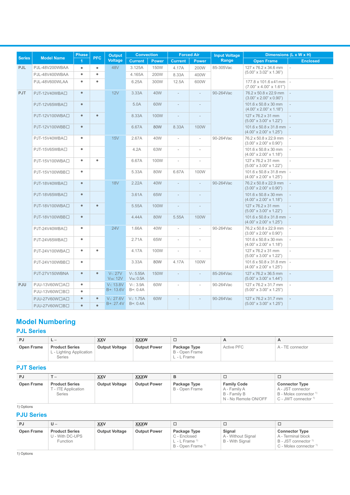|               |                           | <b>Phase</b> |            | <b>Output</b>                      | <b>Convection</b>                |              |                          | <b>Forced Air</b>        | <b>Input Voltage</b> |                                                                                     | Dimensions (L x W x H)                                      |  |
|---------------|---------------------------|--------------|------------|------------------------------------|----------------------------------|--------------|--------------------------|--------------------------|----------------------|-------------------------------------------------------------------------------------|-------------------------------------------------------------|--|
| <b>Series</b> | <b>Model Name</b>         |              | <b>PFC</b> | <b>Voltage</b>                     | <b>Current</b>                   | <b>Power</b> | <b>Current</b>           | <b>Power</b>             | Range                | <b>Open Frame</b>                                                                   | <b>Enclosed</b>                                             |  |
| <b>PJL</b>    | PJL-48V200WBAA            | ٠            | $\bullet$  | 48V                                | 3.125A                           | 150W         | 4.17A                    | 200W                     | 85-305Vac            | 127 x 76.2 x 34.6 mm                                                                |                                                             |  |
|               | PJL-48V400WBAA            | $\bullet$    | $\bullet$  |                                    | 4.165A                           | 200W         | 8.33A                    | 400W                     |                      | $(5.00" \times 3.02" \times 1.36")$                                                 |                                                             |  |
|               | PJL-48V600WLAA            | $\bullet$    | $\bullet$  |                                    | 6.25A                            | 300W         | 12.5A                    | 600W                     |                      | 177.8 x 101.6 x 41 mm<br>$(7.00" \times 4.00" \times 1.61")$                        |                                                             |  |
| PJT           | PJT-12V40WBA□             | $\bullet$    |            | 12V                                | 3.33A                            | 40W          | $\overline{\phantom{a}}$ | $\overline{\phantom{a}}$ | 90-264Vac            | 76.2 x 50.8 x 22.9 mm<br>$(3.00" \times 2.00" \times 0.90")$                        |                                                             |  |
|               | PJT-12V65WBA <sub>D</sub> | $\bullet$    |            |                                    | 5.0A                             | 60W          | ÷                        | ÷                        |                      | 101.6 x 50.8 x 30 mm<br>$(4.00" \times 2.00" \times 1.18")$                         |                                                             |  |
|               | PJT-12V100WBA□            | $\bullet$    | $\bullet$  |                                    | 8.33A                            | 100W         | $\overline{\phantom{a}}$ | $\overline{a}$           |                      | 127 x 76.2 x 31 mm<br>$(5.00" \times 3.00" \times 1.22")$                           |                                                             |  |
|               | PJT-12V100WBB口            | $\bullet$    |            |                                    | 6.67A                            | 80W          | 8.33A                    | 100W                     |                      | $101.6 \times 50.8 \times 31.8$ mm<br>$(4.00" \times 2.00" \times 1.25")$           |                                                             |  |
|               | PJT-15V40WBA□             | ٠            |            | 15V                                | 2.67A                            | 40W          | $\mathcal{L}$            | $\overline{\phantom{a}}$ | 90-264Vac            | 76.2 x 50.8 x 22.9 mm<br>$(3.00" \times 2.00" \times 0.90")$                        |                                                             |  |
|               | PJT-15V65WBA□             | ٠            |            |                                    | 4.2A                             | 63W          | $\overline{\phantom{a}}$ | $\overline{a}$           |                      |                                                                                     | 101.6 x 50.8 x 30 mm<br>$(4.00" \times 2.00" \times 1.18")$ |  |
|               | PJT-15V100WBA口            | ٠            | $\bullet$  |                                    | 6.67A                            | 100W         | $\overline{\phantom{a}}$ | i.                       |                      | 127 x 76.2 x 31 mm<br>$(5.00" \times 3.00" \times 1.22")$                           |                                                             |  |
|               | PJT-15V100WBB口            | ۰            |            |                                    | 5.33A                            | 80W          | 6.67A                    | 100W                     |                      | $101.6 \times 50.8 \times 31.8 \text{ mm}$ -<br>$(4.00" \times 2.00" \times 1.25")$ |                                                             |  |
|               | PJT-18V40WBAI             | $\bullet$    |            | <b>18V</b>                         | 2.22A                            | 40W          | $\bar{a}$                | $\bar{a}$                | 90-264Vac            | 76.2 x 50.8 x 22.9 mm<br>$(3.00" \times 2.00" \times 0.90")$                        |                                                             |  |
|               | PJT-18V65WBA□             | $\bullet$    |            |                                    | 3.61A                            | 65W          | $\overline{\phantom{a}}$ |                          |                      | 101.6 x 50.8 x 30 mm<br>$(4.00" \times 2.00" \times 1.18")$                         |                                                             |  |
|               | PJT-18V100WBAI            | $\bullet$    | $\bullet$  |                                    | 5.55A                            | 100W         | ÷                        |                          |                      | 127 x 76.2 x 31 mm<br>$(5.00" \times 3.00" \times 1.22")$                           |                                                             |  |
|               | PJT-18V100WBB口            | $\bullet$    |            |                                    | 4.44A                            | 80W          | 5.55A                    | 100W                     |                      | $101.6 \times 50.8 \times 31.8$ mm $\vert$ -<br>$(4.00" \times 2.00" \times 1.25")$ |                                                             |  |
|               | PJT-24V40WBA□             | ٠            |            | <b>24V</b>                         | 1.66A                            | 40W          | $\overline{\phantom{a}}$ | $\overline{\phantom{a}}$ | 90-264Vac            | 76.2 x 50.8 x 22.9 mm<br>$(3.00" \times 2.00" \times 0.90")$                        |                                                             |  |
|               | PJT-24V65WBA□             | ٠            |            |                                    | 2.71A                            | 65W          | ÷                        | $\sim$                   |                      | 101.6 x 50.8 x 30 mm<br>$(4.00" \times 2.00" \times 1.18")$                         |                                                             |  |
|               | PJT-24V100WBA口            | ٠            | $\bullet$  |                                    | 4.17A                            | 100W         | $\overline{\phantom{a}}$ |                          |                      | 127 x 76.2 x 31 mm<br>$(5.00" \times 3.00" \times 1.22")$                           |                                                             |  |
|               | PJT-24V100WBB口            | ٠            |            |                                    | 3.33A                            | 80W          | 4.17A                    | 100W                     |                      | $101.6 \times 50.8 \times 31.8$ mm $\vert$ -<br>$(4.00" \times 2.00" \times 1.25")$ |                                                             |  |
|               | PJT-27V150WBNA            | $\bullet$    | $\bullet$  | $V_1$ : 27 $V_2$<br>$V_{SB}$ : 12V | $V_1$ : 5.55A<br>$V_{SB}$ : 0.5A | <b>150W</b>  | $\overline{\phantom{a}}$ | $\overline{\phantom{a}}$ | 85-264Vac            | 127 x 76.2 x 36.5 mm<br>$(5.00" \times 3.00" \times 1.44")$                         |                                                             |  |
| <b>PJU</b>    | PJU-13V60W□A□             | ٠            |            | $V_1$ : 13.8V                      | $V_1$ : 3.9A                     | 60W          | $\overline{\phantom{a}}$ | $\overline{\phantom{a}}$ | 90-264Vac            | 127 x 76.2 x 31.7 mm                                                                |                                                             |  |
|               | PJU-13V60W口B口             | $\bullet$    |            | B+: 13.6V                          | $B + 0.4A$                       |              |                          |                          |                      | $(5.00" \times 3.00" \times 1.25")$                                                 |                                                             |  |
|               | PJU-27V60W□A□             | $\bullet$    | $\bullet$  | $V_1$ : 27.6V                      | $V_1$ : 1.75A                    | 60W          |                          |                          | 90-264Vac            | 127 x 76.2 x 31.7 mm                                                                |                                                             |  |
|               | PJU-27V60W□B□             | $\bullet$    | $\bullet$  | B+: 27.4V                          | B+: 0.4A                         |              |                          |                          |                      | $(5.00" \times 3.00" \times 1.25")$                                                 |                                                             |  |

### **Model Numbering**

#### **PJL Series**

| PJ                | $-1$                                                        | <b>XXV</b>            | <b>XXXW</b>         | -                                               |                   | $\mathbf{A}$     |
|-------------------|-------------------------------------------------------------|-----------------------|---------------------|-------------------------------------------------|-------------------|------------------|
| <b>Open Frame</b> | <b>Product Series</b><br>L - Lighting Application<br>Series | <b>Output Voltage</b> | <b>Output Power</b> | Package Type<br>B - Open Frame<br>$L - L$ Frame | <b>Active PFC</b> | A - TE connector |

#### **PJT Series**

| PJ         | --                                                            | <b>XXV</b>            | <b>XXXW</b>         |                                |                                                                            |                                                                                                                      |
|------------|---------------------------------------------------------------|-----------------------|---------------------|--------------------------------|----------------------------------------------------------------------------|----------------------------------------------------------------------------------------------------------------------|
| Open Frame | <b>Product Series</b><br><b>T</b> - ITE Application<br>Series | <b>Output Voltage</b> | <b>Output Power</b> | Package Type<br>B - Open Frame | <b>Family Code</b><br>A - Family A<br>B - Family B<br>N - No Remote ON/OFF | <b>Connector Type</b><br>A - JST connector<br>B - Molex connector <sup>1)</sup><br>$C$ - JWT connector $\frac{1}{1}$ |

1) Options

#### **PJU Series**

| PJ         | U –                                                  | <b>XXV</b>            | <b>XXXW</b>         |                                                                                           |                                                 | ┕                                                                                                                   |
|------------|------------------------------------------------------|-----------------------|---------------------|-------------------------------------------------------------------------------------------|-------------------------------------------------|---------------------------------------------------------------------------------------------------------------------|
| Open Frame | <b>Product Series</b><br>U - With DC-UPS<br>Function | <b>Output Voltage</b> | <b>Output Power</b> | Package Type<br>C - Enclosed<br>L - L Frame $\frac{1}{1}$<br>B - Open Frame <sup>1)</sup> | Sianal<br>A - Without Signal<br>B - With Signal | <b>Connector Type</b><br>A - Terminal block<br>B - JST connector <sup>1)</sup><br>C - Molex connector <sup>1)</sup> |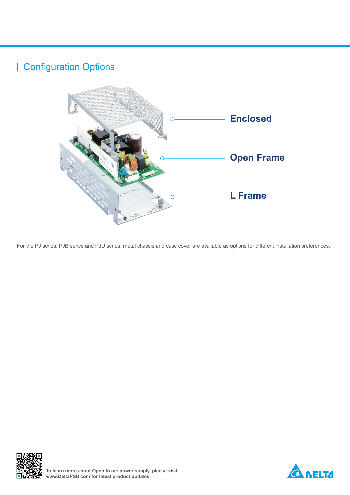## Configuration Options



For the PJ series, PJB series and PJU series, metal chassis and case cover are avaliable as options for different installation preferences.